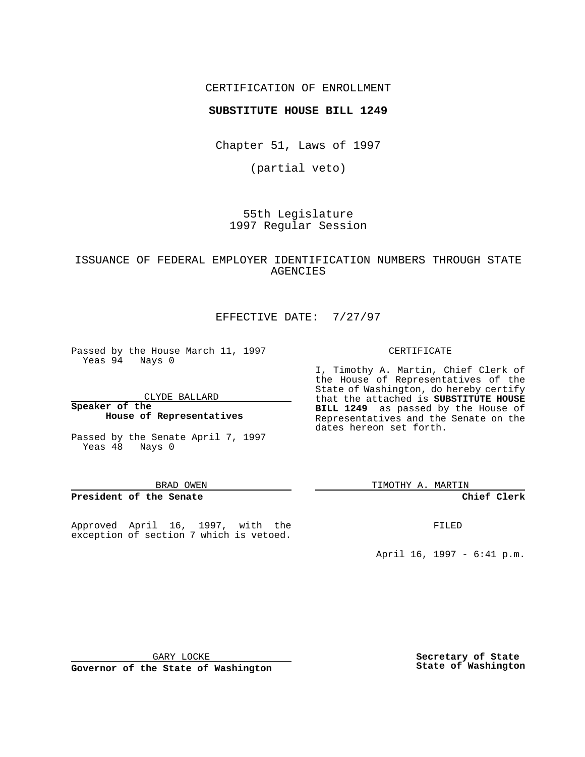### CERTIFICATION OF ENROLLMENT

### **SUBSTITUTE HOUSE BILL 1249**

Chapter 51, Laws of 1997

(partial veto)

55th Legislature 1997 Regular Session

## ISSUANCE OF FEDERAL EMPLOYER IDENTIFICATION NUMBERS THROUGH STATE AGENCIES

# EFFECTIVE DATE: 7/27/97

Passed by the House March 11, 1997 Yeas 94 Nays 0

CLYDE BALLARD

**Speaker of the House of Representatives**

Passed by the Senate April 7, 1997 Yeas 48 Nays 0

BRAD OWEN

#### **President of the Senate**

Approved April 16, 1997, with the exception of section 7 which is vetoed.

#### CERTIFICATE

I, Timothy A. Martin, Chief Clerk of the House of Representatives of the State of Washington, do hereby certify that the attached is **SUBSTITUTE HOUSE BILL 1249** as passed by the House of Representatives and the Senate on the dates hereon set forth.

TIMOTHY A. MARTIN

**Chief Clerk**

FILED

April 16, 1997 - 6:41 p.m.

GARY LOCKE

**Governor of the State of Washington**

**Secretary of State State of Washington**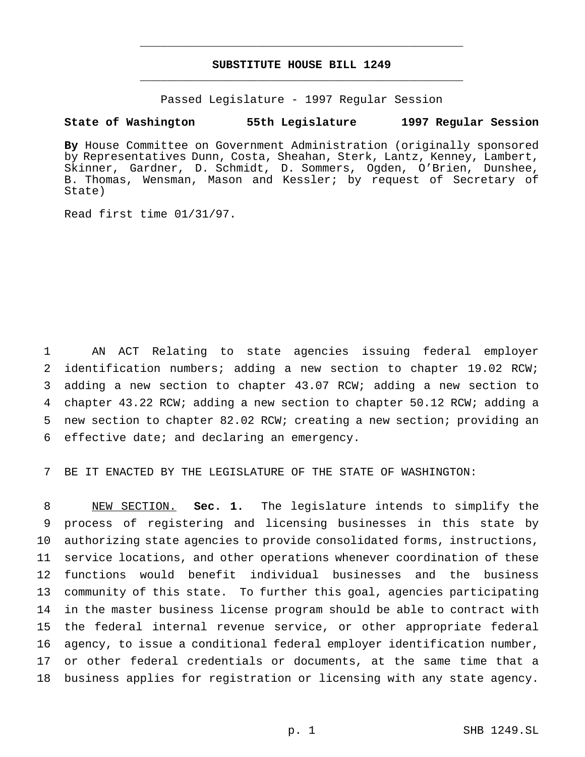## **SUBSTITUTE HOUSE BILL 1249** \_\_\_\_\_\_\_\_\_\_\_\_\_\_\_\_\_\_\_\_\_\_\_\_\_\_\_\_\_\_\_\_\_\_\_\_\_\_\_\_\_\_\_\_\_\_\_

\_\_\_\_\_\_\_\_\_\_\_\_\_\_\_\_\_\_\_\_\_\_\_\_\_\_\_\_\_\_\_\_\_\_\_\_\_\_\_\_\_\_\_\_\_\_\_

Passed Legislature - 1997 Regular Session

#### **State of Washington 55th Legislature 1997 Regular Session**

**By** House Committee on Government Administration (originally sponsored by Representatives Dunn, Costa, Sheahan, Sterk, Lantz, Kenney, Lambert, Skinner, Gardner, D. Schmidt, D. Sommers, Ogden, O'Brien, Dunshee, B. Thomas, Wensman, Mason and Kessler; by request of Secretary of State)

Read first time 01/31/97.

 AN ACT Relating to state agencies issuing federal employer 2 identification numbers; adding a new section to chapter 19.02 RCW; adding a new section to chapter 43.07 RCW; adding a new section to chapter 43.22 RCW; adding a new section to chapter 50.12 RCW; adding a new section to chapter 82.02 RCW; creating a new section; providing an effective date; and declaring an emergency.

7 BE IT ENACTED BY THE LEGISLATURE OF THE STATE OF WASHINGTON:

 NEW SECTION. **Sec. 1.** The legislature intends to simplify the process of registering and licensing businesses in this state by authorizing state agencies to provide consolidated forms, instructions, service locations, and other operations whenever coordination of these functions would benefit individual businesses and the business community of this state. To further this goal, agencies participating in the master business license program should be able to contract with the federal internal revenue service, or other appropriate federal agency, to issue a conditional federal employer identification number, or other federal credentials or documents, at the same time that a business applies for registration or licensing with any state agency.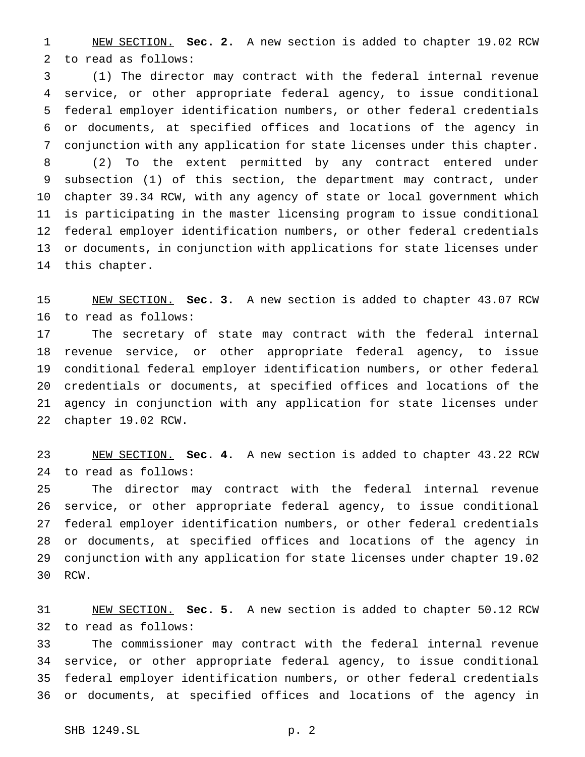NEW SECTION. **Sec. 2.** A new section is added to chapter 19.02 RCW to read as follows:

 (1) The director may contract with the federal internal revenue service, or other appropriate federal agency, to issue conditional federal employer identification numbers, or other federal credentials or documents, at specified offices and locations of the agency in conjunction with any application for state licenses under this chapter. (2) To the extent permitted by any contract entered under subsection (1) of this section, the department may contract, under chapter 39.34 RCW, with any agency of state or local government which is participating in the master licensing program to issue conditional federal employer identification numbers, or other federal credentials or documents, in conjunction with applications for state licenses under this chapter.

 NEW SECTION. **Sec. 3.** A new section is added to chapter 43.07 RCW to read as follows:

 The secretary of state may contract with the federal internal revenue service, or other appropriate federal agency, to issue conditional federal employer identification numbers, or other federal credentials or documents, at specified offices and locations of the agency in conjunction with any application for state licenses under chapter 19.02 RCW.

 NEW SECTION. **Sec. 4.** A new section is added to chapter 43.22 RCW to read as follows:

 The director may contract with the federal internal revenue service, or other appropriate federal agency, to issue conditional federal employer identification numbers, or other federal credentials or documents, at specified offices and locations of the agency in conjunction with any application for state licenses under chapter 19.02 RCW.

 NEW SECTION. **Sec. 5.** A new section is added to chapter 50.12 RCW to read as follows:

 The commissioner may contract with the federal internal revenue service, or other appropriate federal agency, to issue conditional federal employer identification numbers, or other federal credentials or documents, at specified offices and locations of the agency in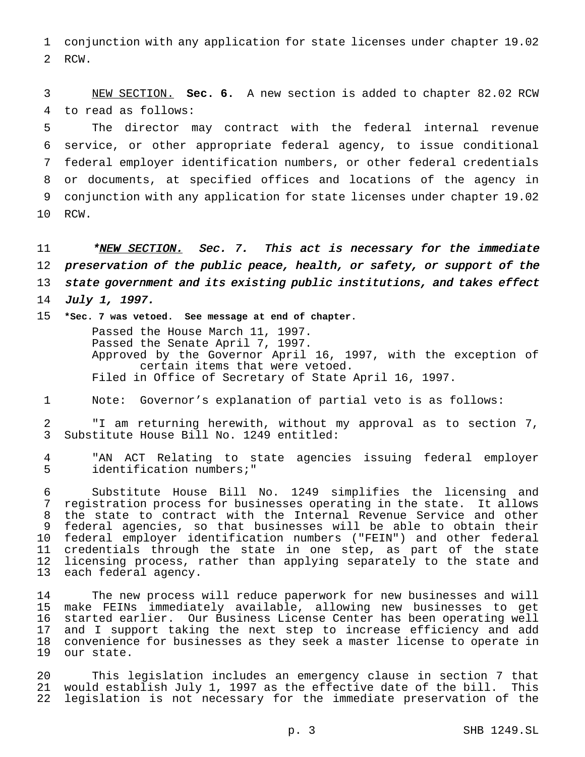conjunction with any application for state licenses under chapter 19.02 RCW.

 NEW SECTION. **Sec. 6.** A new section is added to chapter 82.02 RCW to read as follows:

 The director may contract with the federal internal revenue service, or other appropriate federal agency, to issue conditional federal employer identification numbers, or other federal credentials or documents, at specified offices and locations of the agency in conjunction with any application for state licenses under chapter 19.02 RCW.

11 \*NEW SECTION. Sec. 7. This act is necessary for the immediate preservation of the public peace, health, or safety, or support of the state government and its existing public institutions, and takes effect 14 July 1, 1997.

 **\*Sec. 7 was vetoed. See message at end of chapter.** Passed the House March 11, 1997. Passed the Senate April 7, 1997. Approved by the Governor April 16, 1997, with the exception of certain items that were vetoed. Filed in Office of Secretary of State April 16, 1997.

Note: Governor's explanation of partial veto is as follows:

 "I am returning herewith, without my approval as to section 7, Substitute House Bill No. 1249 entitled:

 "AN ACT Relating to state agencies issuing federal employer identification numbers;"

 Substitute House Bill No. 1249 simplifies the licensing and registration process for businesses operating in the state. It allows the state to contract with the Internal Revenue Service and other federal agencies, so that businesses will be able to obtain their federal employer identification numbers ("FEIN") and other federal credentials through the state in one step, as part of the state 12 licensing process, rather than applying separately to the state and<br>13 each federal agency. each federal agency.

 The new process will reduce paperwork for new businesses and will make FEINs immediately available, allowing new businesses to get started earlier. Our Business License Center has been operating well and I support taking the next step to increase efficiency and add convenience for businesses as they seek a master license to operate in our state.

 This legislation includes an emergency clause in section 7 that would establish July 1, 1997 as the effective date of the bill. This legislation is not necessary for the immediate preservation of the